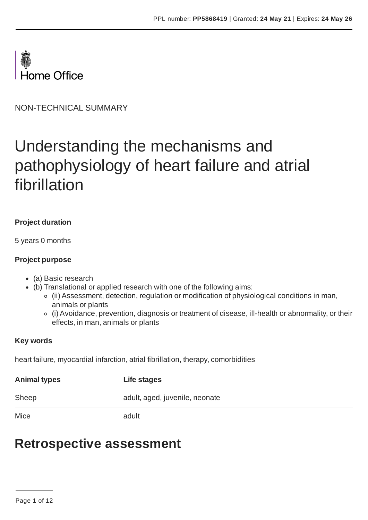

NON-TECHNICAL SUMMARY

# Understanding the mechanisms and pathophysiology of heart failure and atrial fibrillation

## **Project duration**

5 years 0 months

#### **Project purpose**

- (a) Basic research
- (b) Translational or applied research with one of the following aims:
	- (ii) Assessment, detection, regulation or modification of physiological conditions in man, animals or plants
	- (i) Avoidance, prevention, diagnosis or treatment of disease, ill-health or abnormality, or their effects, in man, animals or plants

#### **Key words**

heart failure, myocardial infarction, atrial fibrillation, therapy, comorbidities

| <b>Animal types</b> | Life stages                    |
|---------------------|--------------------------------|
| Sheep               | adult, aged, juvenile, neonate |
| Mice                | adult                          |

# **Retrospective assessment**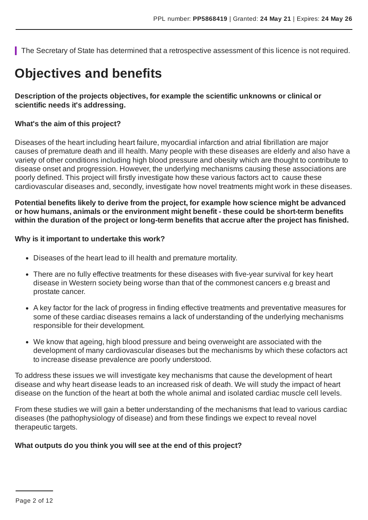The Secretary of State has determined that a retrospective assessment of this licence is not required.

# **Objectives and benefits**

### **Description of the projects objectives, for example the scientific unknowns or clinical or scientific needs it's addressing.**

#### **What's the aim of this project?**

Diseases of the heart including heart failure, myocardial infarction and atrial fibrillation are major causes of premature death and ill health. Many people with these diseases are elderly and also have a variety of other conditions including high blood pressure and obesity which are thought to contribute to disease onset and progression. However, the underlying mechanisms causing these associations are poorly defined. This project will firstly investigate how these various factors act to cause these cardiovascular diseases and, secondly, investigate how novel treatments might work in these diseases.

**Potential benefits likely to derive from the project, for example how science might be advanced or how humans, animals or the environment might benefit - these could be short-term benefits within the duration of the project or long-term benefits that accrue after the project has finished.**

#### **Why is it important to undertake this work?**

- Diseases of the heart lead to ill health and premature mortality.
- There are no fully effective treatments for these diseases with five-year survival for key heart disease in Western society being worse than that of the commonest cancers e.g breast and prostate cancer.
- A key factor for the lack of progress in finding effective treatments and preventative measures for some of these cardiac diseases remains a lack of understanding of the underlying mechanisms responsible for their development.
- We know that ageing, high blood pressure and being overweight are associated with the development of many cardiovascular diseases but the mechanisms by which these cofactors act to increase disease prevalence are poorly understood.

To address these issues we will investigate key mechanisms that cause the development of heart disease and why heart disease leads to an increased risk of death. We will study the impact of heart disease on the function of the heart at both the whole animal and isolated cardiac muscle cell levels.

From these studies we will gain a better understanding of the mechanisms that lead to various cardiac diseases (the pathophysiology of disease) and from these findings we expect to reveal novel therapeutic targets.

#### **What outputs do you think you will see at the end of this project?**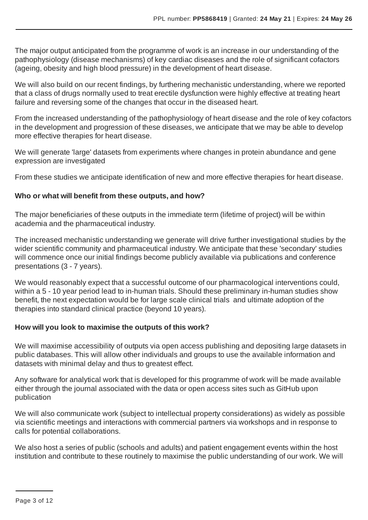The major output anticipated from the programme of work is an increase in our understanding of the pathophysiology (disease mechanisms) of key cardiac diseases and the role of significant cofactors (ageing, obesity and high blood pressure) in the development of heart disease.

We will also build on our recent findings, by furthering mechanistic understanding, where we reported that a class of drugs normally used to treat erectile dysfunction were highly effective at treating heart failure and reversing some of the changes that occur in the diseased heart.

From the increased understanding of the pathophysiology of heart disease and the role of key cofactors in the development and progression of these diseases, we anticipate that we may be able to develop more effective therapies for heart disease.

We will generate 'large' datasets from experiments where changes in protein abundance and gene expression are investigated

From these studies we anticipate identification of new and more effective therapies for heart disease.

### **Who or what will benefit from these outputs, and how?**

The major beneficiaries of these outputs in the immediate term (lifetime of project) will be within academia and the pharmaceutical industry.

The increased mechanistic understanding we generate will drive further investigational studies by the wider scientific community and pharmaceutical industry. We anticipate that these 'secondary' studies will commence once our initial findings become publicly available via publications and conference presentations (3 - 7 years).

We would reasonably expect that a successful outcome of our pharmacological interventions could, within a 5 - 10 year period lead to in-human trials. Should these preliminary in-human studies show benefit, the next expectation would be for large scale clinical trials and ultimate adoption of the therapies into standard clinical practice (beyond 10 years).

### **How will you look to maximise the outputs of this work?**

We will maximise accessibility of outputs via open access publishing and depositing large datasets in public databases. This will allow other individuals and groups to use the available information and datasets with minimal delay and thus to greatest effect.

Any software for analytical work that is developed for this programme of work will be made available either through the journal associated with the data or open access sites such as GitHub upon publication

We will also communicate work (subject to intellectual property considerations) as widely as possible via scientific meetings and interactions with commercial partners via workshops and in response to calls for potential collaborations.

We also host a series of public (schools and adults) and patient engagement events within the host institution and contribute to these routinely to maximise the public understanding of our work. We will

Page 3 of 12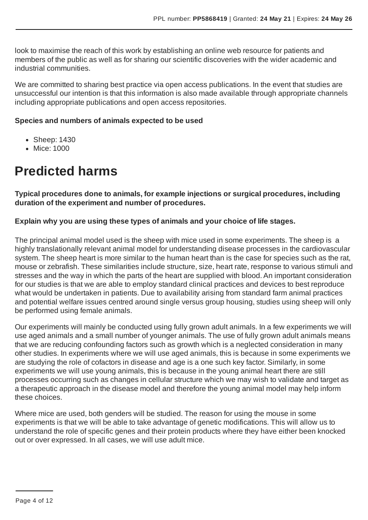look to maximise the reach of this work by establishing an online web resource for patients and members of the public as well as for sharing our scientific discoveries with the wider academic and industrial communities.

We are committed to sharing best practice via open access publications. In the event that studies are unsuccessful our intention is that this information is also made available through appropriate channels including appropriate publications and open access repositories.

#### **Species and numbers of animals expected to be used**

- Sheep: 1430
- Mice: 1000

# **Predicted harms**

**Typical procedures done to animals, for example injections or surgical procedures, including duration of the experiment and number of procedures.**

### **Explain why you are using these types of animals and your choice of life stages.**

The principal animal model used is the sheep with mice used in some experiments. The sheep is a highly translationally relevant animal model for understanding disease processes in the cardiovascular system. The sheep heart is more similar to the human heart than is the case for species such as the rat, mouse or zebrafish. These similarities include structure, size, heart rate, response to various stimuli and stresses and the way in which the parts of the heart are supplied with blood. An important consideration for our studies is that we are able to employ standard clinical practices and devices to best reproduce what would be undertaken in patients. Due to availability arising from standard farm animal practices and potential welfare issues centred around single versus group housing, studies using sheep will only be performed using female animals.

Our experiments will mainly be conducted using fully grown adult animals. In a few experiments we will use aged animals and a small number of younger animals. The use of fully grown adult animals means that we are reducing confounding factors such as growth which is a neglected consideration in many other studies. In experiments where we will use aged animals, this is because in some experiments we are studying the role of cofactors in disease and age is a one such key factor. Similarly, in some experiments we will use young animals, this is because in the young animal heart there are still processes occurring such as changes in cellular structure which we may wish to validate and target as a therapeutic approach in the disease model and therefore the young animal model may help inform these choices.

Where mice are used, both genders will be studied. The reason for using the mouse in some experiments is that we will be able to take advantage of genetic modifications. This will allow us to understand the role of specific genes and their protein products where they have either been knocked out or over expressed. In all cases, we will use adult mice.

Page 4 of 12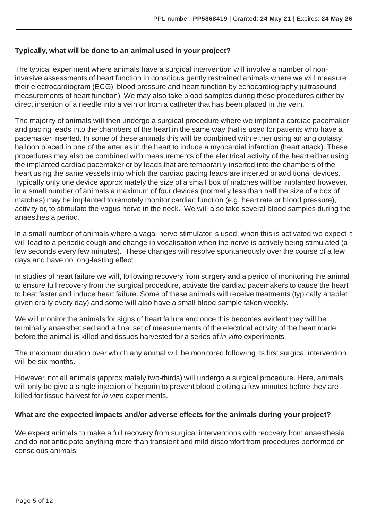### **Typically, what will be done to an animal used in your project?**

The typical experiment where animals have a surgical intervention will involve a number of noninvasive assessments of heart function in conscious gently restrained animals where we will measure their electrocardiogram (ECG), blood pressure and heart function by echocardiography (ultrasound measurements of heart function). We may also take blood samples during these procedures either by direct insertion of a needle into a vein or from a catheter that has been placed in the vein.

The majority of animals will then undergo a surgical procedure where we implant a cardiac pacemaker and pacing leads into the chambers of the heart in the same way that is used for patients who have a pacemaker inserted. In some of these animals this will be combined with either using an angioplasty balloon placed in one of the arteries in the heart to induce a myocardial infarction (heart attack). These procedures may also be combined with measurements of the electrical activity of the heart either using the implanted cardiac pacemaker or by leads that are temporarily inserted into the chambers of the heart using the same vessels into which the cardiac pacing leads are inserted or additional devices. Typically only one device approximately the size of a small box of matches will be implanted however, in a small number of animals a maximum of four devices (normally less than half the size of a box of matches) may be implanted to remotely monitor cardiac function (e.g. heart rate or blood pressure), activity or, to stimulate the vagus nerve in the neck. We will also take several blood samples during the anaesthesia period.

In a small number of animals where a vagal nerve stimulator is used, when this is activated we expect it will lead to a periodic cough and change in vocalisation when the nerve is actively being stimulated (a few seconds every few minutes). These changes will resolve spontaneously over the course of a few days and have no long-lasting effect.

In studies of heart failure we will, following recovery from surgery and a period of monitoring the animal to ensure full recovery from the surgical procedure, activate the cardiac pacemakers to cause the heart to beat faster and induce heart failure. Some of these animals will receive treatments (typically a tablet given orally every day) and some will also have a small blood sample taken weekly.

We will monitor the animals for signs of heart failure and once this becomes evident they will be terminally anaesthetised and a final set of measurements of the electrical activity of the heart made before the animal is killed and tissues harvested for a series of *in vitro* experiments.

The maximum duration over which any animal will be monitored following its first surgical intervention will be six months.

However, not all animals (approximately two-thirds) will undergo a surgical procedure. Here, animals will only be give a single injection of heparin to prevent blood clotting a few minutes before they are killed for tissue harvest for *in vitro* experiments.

### **What are the expected impacts and/or adverse effects for the animals during your project?**

We expect animals to make a full recovery from surgical interventions with recovery from anaesthesia and do not anticipate anything more than transient and mild discomfort from procedures performed on conscious animals.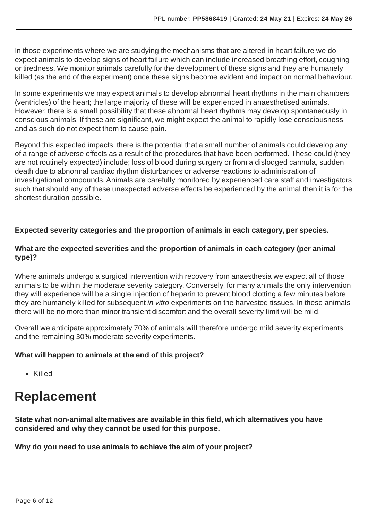In those experiments where we are studying the mechanisms that are altered in heart failure we do expect animals to develop signs of heart failure which can include increased breathing effort, coughing or tiredness. We monitor animals carefully for the development of these signs and they are humanely killed (as the end of the experiment) once these signs become evident and impact on normal behaviour.

In some experiments we may expect animals to develop abnormal heart rhythms in the main chambers (ventricles) of the heart; the large majority of these will be experienced in anaesthetised animals. However, there is a small possibility that these abnormal heart rhythms may develop spontaneously in conscious animals. If these are significant, we might expect the animal to rapidly lose consciousness and as such do not expect them to cause pain.

Beyond this expected impacts, there is the potential that a small number of animals could develop any of a range of adverse effects as a result of the procedures that have been performed. These could (they are not routinely expected) include; loss of blood during surgery or from a dislodged cannula, sudden death due to abnormal cardiac rhythm disturbances or adverse reactions to administration of investigational compounds.Animals are carefully monitored by experienced care staff and investigators such that should any of these unexpected adverse effects be experienced by the animal then it is for the shortest duration possible.

## **Expected severity categories and the proportion of animals in each category, per species.**

### **What are the expected severities and the proportion of animals in each category (per animal type)?**

Where animals undergo a surgical intervention with recovery from anaesthesia we expect all of those animals to be within the moderate severity category. Conversely, for many animals the only intervention they will experience will be a single injection of heparin to prevent blood clotting a few minutes before they are humanely killed for subsequent *in vitro* experiments on the harvested tissues. In these animals there will be no more than minor transient discomfort and the overall severity limit will be mild.

Overall we anticipate approximately 70% of animals will therefore undergo mild severity experiments and the remaining 30% moderate severity experiments.

### **What will happen to animals at the end of this project?**

• Killed

# **Replacement**

**State what non-animal alternatives are available in this field, which alternatives you have considered and why they cannot be used for this purpose.**

**Why do you need to use animals to achieve the aim of your project?**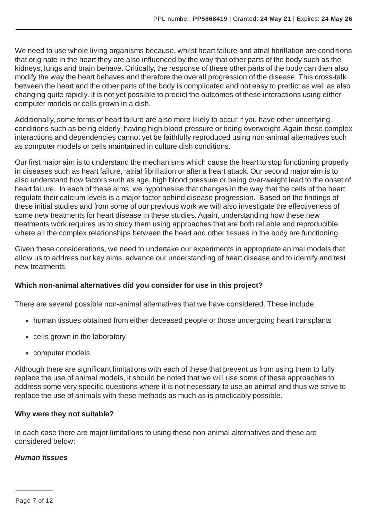We need to use whole living organisms because, whilst heart failure and atrial fibrillation are conditions that originate in the heart they are also influenced by the way that other parts of the body such as the kidneys, lungs and brain behave. Critically, the response of these other parts of the body can then also modify the way the heart behaves and therefore the overall progression of the disease. This cross-talk between the heart and the other parts of the body is complicated and not easy to predict as well as also changing quite rapidly. It is not yet possible to predict the outcomes of these interactions using either computer models or cells grown in a dish.

Additionally, some forms of heart failure are also more likely to occur if you have other underlying conditions such as being elderly, having high blood pressure or being overweight. Again these complex interactions and dependencies cannot yet be faithfully reproduced using non-animal alternatives such as computer models or cells maintained in culture dish conditions.

Our first major aim is to understand the mechanisms which cause the heart to stop functioning properly in diseases such as heart failure, atrial fibrillation or after a heart attack. Our second major aim is to also understand how factors such as age, high blood pressure or being over-weight lead to the onset of heart failure. In each of these aims, we hypothesise that changes in the way that the cells of the heart regulate their calcium levels is a major factor behind disease progression. Based on the findings of these initial studies and from some of our previous work we will also investigate the effectiveness of some new treatments for heart disease in these studies. Again, understanding how these new treatments work requires us to study them using approaches that are both reliable and reproducible where all the complex relationships between the heart and other tissues in the body are functioning.

Given these considerations, we need to undertake our experiments in appropriate animal models that allow us to address our key aims, advance our understanding of heart disease and to identify and test new treatments.

### **Which non-animal alternatives did you consider for use in this project?**

There are several possible non-animal alternatives that we have considered. These include:

- human tissues obtained from either deceased people or those undergoing heart transplants
- cells grown in the laboratory
- computer models

Although there are significant limitations with each of these that prevent us from using them to fully replace the use of animal models, it should be noted that we will use some of these approaches to address some very specific questions where it is not necessary to use an animal and thus we strive to replace the use of animals with these methods as much as is practicably possible.

### **Why were they not suitable?**

In each case there are major limitations to using these non-animal alternatives and these are considered below:

### *Human tissues*

Page 7 of 12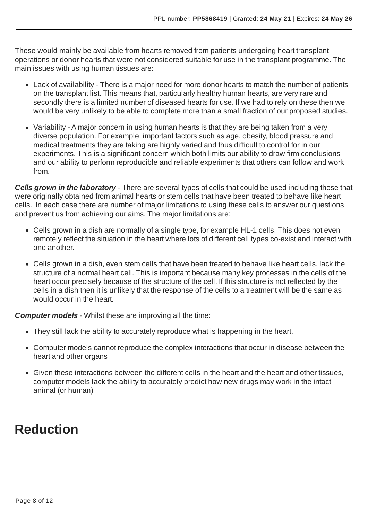These would mainly be available from hearts removed from patients undergoing heart transplant operations or donor hearts that were not considered suitable for use in the transplant programme. The main issues with using human tissues are:

- Lack of availability There is a major need for more donor hearts to match the number of patients on the transplant list. This means that, particularly healthy human hearts, are very rare and secondly there is a limited number of diseased hearts for use. If we had to rely on these then we would be very unlikely to be able to complete more than a small fraction of our proposed studies.
- Variability A major concern in using human hearts is that they are being taken from a very diverse population. For example, important factors such as age, obesity, blood pressure and medical treatments they are taking are highly varied and thus difficult to control for in our experiments. This is a significant concern which both limits our ability to draw firm conclusions and our ability to perform reproducible and reliable experiments that others can follow and work from.

*Cells grown in the laboratory* - There are several types of cells that could be used including those that were originally obtained from animal hearts or stem cells that have been treated to behave like heart cells. In each case there are number of major limitations to using these cells to answer our questions and prevent us from achieving our aims. The major limitations are:

- Cells grown in a dish are normally of a single type, for example HL-1 cells. This does not even remotely reflect the situation in the heart where lots of different cell types co-exist and interact with one another.
- Cells grown in a dish, even stem cells that have been treated to behave like heart cells, lack the structure of a normal heart cell. This is important because many key processes in the cells of the heart occur precisely because of the structure of the cell. If this structure is not reflected by the cells in a dish then it is unlikely that the response of the cells to a treatment will be the same as would occur in the heart.

*Computer models* - Whilst these are improving all the time:

- They still lack the ability to accurately reproduce what is happening in the heart.
- Computer models cannot reproduce the complex interactions that occur in disease between the heart and other organs
- Given these interactions between the different cells in the heart and the heart and other tissues, computer models lack the ability to accurately predict how new drugs may work in the intact animal (or human)

# **Reduction**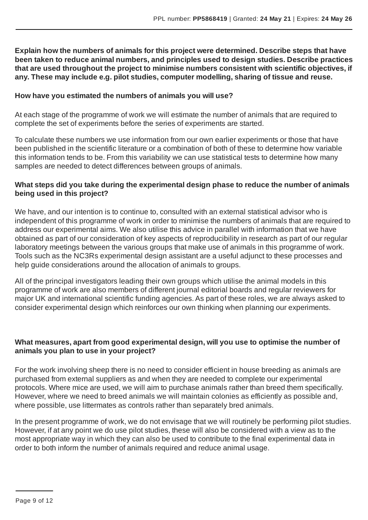**Explain how the numbers of animals for this project were determined. Describe steps that have been taken to reduce animal numbers, and principles used to design studies. Describe practices that are used throughout the project to minimise numbers consistent with scientific objectives, if any. These may include e.g. pilot studies, computer modelling, sharing of tissue and reuse.**

#### **How have you estimated the numbers of animals you will use?**

At each stage of the programme of work we will estimate the number of animals that are required to complete the set of experiments before the series of experiments are started.

To calculate these numbers we use information from our own earlier experiments or those that have been published in the scientific literature or a combination of both of these to determine how variable this information tends to be. From this variability we can use statistical tests to determine how many samples are needed to detect differences between groups of animals.

#### **What steps did you take during the experimental design phase to reduce the number of animals being used in this project?**

We have, and our intention is to continue to, consulted with an external statistical advisor who is independent of this programme of work in order to minimise the numbers of animals that are required to address our experimental aims. We also utilise this advice in parallel with information that we have obtained as part of our consideration of key aspects of reproducibility in research as part of our regular laboratory meetings between the various groups that make use of animals in this programme of work. Tools such as the NC3Rs experimental design assistant are a useful adjunct to these processes and help guide considerations around the allocation of animals to groups.

All of the principal investigators leading their own groups which utilise the animal models in this programme of work are also members of different journal editorial boards and regular reviewers for major UK and international scientific funding agencies.As part of these roles, we are always asked to consider experimental design which reinforces our own thinking when planning our experiments.

### **What measures, apart from good experimental design, will you use to optimise the number of animals you plan to use in your project?**

For the work involving sheep there is no need to consider efficient in house breeding as animals are purchased from external suppliers as and when they are needed to complete our experimental protocols. Where mice are used, we will aim to purchase animals rather than breed them specifically. However, where we need to breed animals we will maintain colonies as efficiently as possible and, where possible, use littermates as controls rather than separately bred animals.

In the present programme of work, we do not envisage that we will routinely be performing pilot studies. However, if at any point we do use pilot studies, these will also be considered with a view as to the most appropriate way in which they can also be used to contribute to the final experimental data in order to both inform the number of animals required and reduce animal usage.

Page 9 of 12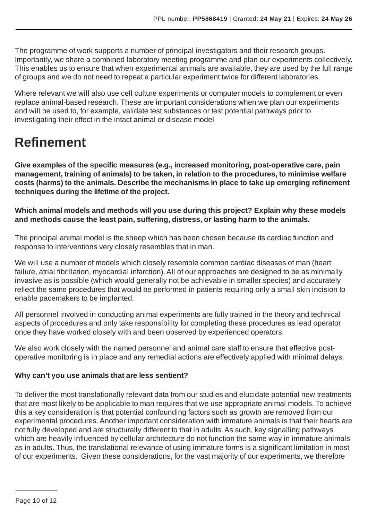The programme of work supports a number of principal investigators and their research groups. Importantly, we share a combined laboratory meeting programme and plan our experiments collectively. This enables us to ensure that when experimental animals are available, they are used by the full range of groups and we do not need to repeat a particular experiment twice for different laboratories.

Where relevant we will also use cell culture experiments or computer models to complement or even replace animal-based research. These are important considerations when we plan our experiments and will be used to, for example, validate test substances or test potential pathways prior to investigating their effect in the intact animal or disease model

# **Refinement**

**Give examples of the specific measures (e.g., increased monitoring, post-operative care, pain management, training of animals) to be taken, in relation to the procedures, to minimise welfare costs (harms) to the animals. Describe the mechanisms in place to take up emerging refinement techniques during the lifetime of the project.**

**Which animal models and methods will you use during this project? Explain why these models and methods cause the least pain, suffering, distress, or lasting harm to the animals.**

The principal animal model is the sheep which has been chosen because its cardiac function and response to interventions very closely resembles that in man.

We will use a number of models which closely resemble common cardiac diseases of man (heart failure, atrial fibrillation, myocardial infarction). All of our approaches are designed to be as minimally invasive as is possible (which would generally not be achievable in smaller species) and accurately reflect the same procedures that would be performed in patients requiring only a small skin incision to enable pacemakers to be implanted.

All personnel involved in conducting animal experiments are fully trained in the theory and technical aspects of procedures and only take responsibility for completing these procedures as lead operator once they have worked closely with and been observed by experienced operators.

We also work closely with the named personnel and animal care staff to ensure that effective postoperative monitoring is in place and any remedial actions are effectively applied with minimal delays.

# **Why can't you use animals that are less sentient?**

To deliver the most translationally relevant data from our studies and elucidate potential new treatments that are most likely to be applicable to man requires that we use appropriate animal models. To achieve this a key consideration is that potential confounding factors such as growth are removed from our experimental procedures. Another important consideration with immature animals is that their hearts are not fully developed and are structurally different to that in adults.As such, key signalling pathways which are heavily influenced by cellular architecture do not function the same way in immature animals as in adults. Thus, the translational relevance of using immature forms is a significant limitation in most of our experiments. Given these considerations, for the vast majority of our experiments, we therefore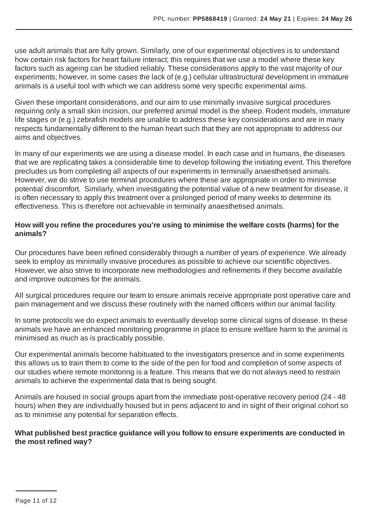use adult animals that are fully grown. Similarly, one of our experimental objectives is to understand how certain risk factors for heart failure interact; this requires that we use a model where these key factors such as ageing can be studied reliably. These considerations apply to the vast majority of our experiments; however, in some cases the lack of (e.g.) cellular ultrastructural development in immature animals is a useful tool with which we can address some very specific experimental aims.

Given these important considerations, and our aim to use minimally invasive surgical procedures requiring only a small skin incision, our preferred animal model is the sheep. Rodent models, immature life stages or (e.g.) zebrafish models are unable to address these key considerations and are in many respects fundamentally different to the human heart such that they are not appropriate to address our aims and objectives.

In many of our experiments we are using a disease model. In each case and in humans, the diseases that we are replicating takes a considerable time to develop following the initiating event. This therefore precludes us from completing all aspects of our experiments in terminally anaesthetised animals. However, we do strive to use terminal procedures where these are appropriate in order to minimise potential discomfort. Similarly, when investigating the potential value of a new treatment for disease, it is often necessary to apply this treatment over a prolonged period of many weeks to determine its effectiveness. This is therefore not achievable in terminally anaesthetised animals.

### **How will you refine the procedures you're using to minimise the welfare costs (harms) for the animals?**

Our procedures have been refined considerably through a number of years of experience. We already seek to employ as minimally invasive procedures as possible to achieve our scientific objectives. However, we also strive to incorporate new methodologies and refinements if they become available and improve outcomes for the animals.

All surgical procedures require our team to ensure animals receive appropriate post operative care and pain management and we discuss these routinely with the named officers within our animal facility.

In some protocols we do expect animals to eventually develop some clinical signs of disease. In these animals we have an enhanced monitoring programme in place to ensure welfare harm to the animal is minimised as much as is practicably possible.

Our experimental animals become habituated to the investigators presence and in some experiments this allows us to train them to come to the side of the pen for food and completion of some aspects of our studies where remote monitoring is a feature. This means that we do not always need to restrain animals to achieve the experimental data that is being sought.

Animals are housed in social groups apart from the immediate post-operative recovery period (24 - 48 hours) when they are individually housed but in pens adjacent to and in sight of their original cohort so as to minimise any potential for separation effects.

#### **What published best practice guidance will you follow to ensure experiments are conducted in the most refined way?**

Page 11 of 12